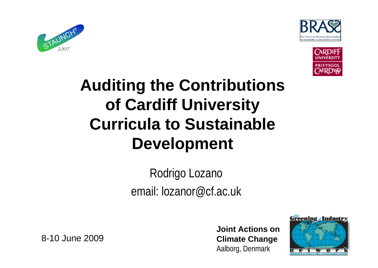





#### **Auditing the Contributions of Cardiff University Curricula to Sustainable Development**

Rodrigo Lozano email: lozanor@cf.ac.uk

8-10 June 2009

**Joint Actions on Climate Change** Aalborg, Denmark

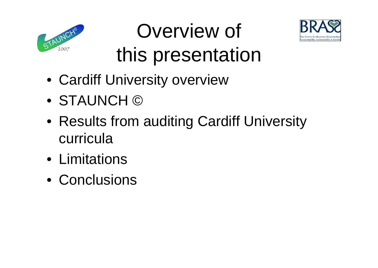



## Overview of this presentation

- Cardiff University overview
- STAUNCH ©
- Results from auditing Cardiff University curricula
- Limitations
- Conclusions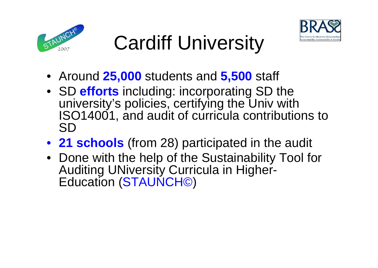



# Cardiff University

- Around **25,000** students and **5,500** staff
- SD **efforts** including: incorporating SD the university's policies, certifying the Univ with ISO14001, and audit of curricula contributions to SD
- **21 schools** (from 28) participated in the audit
- Done with the help of the Sustainability Tool for Auditing UNiversity Curricula in Higher-Education (STAUNCH©)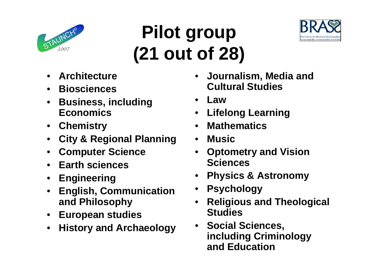

## **Pilot group (21 out of 28)**



- **Architecture**
- **Biosciences**
- **Business, including Economics**
- **Chemistry**
- **City & Regional Planning**
- **Computer Science**
- **Earth sciences**
- **Engineering**
- **English, Communication and Philosophy**
- **European studies**
- **History and Archaeology**
- **Journalism, Media and Cultural Studies**
- **Law**
- **Lifelong Learning**
- **Mathematics**
- **Music**
- **Optometry and Vision Sciences**
- **Physics & Astronomy**
- **Psychology**
- **Religious and Theological Studies**
- **Social Sciences, including Criminology and Education**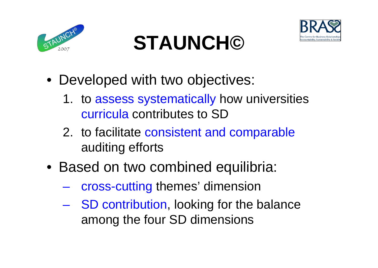





- 1. to assess systematically how universities curricula contributes to SD
- 2. to facilitate consistent and comparable auditing efforts
- Based on two combined equilibria:
	- cross-cutting themes' dimension
	- SD contribution, looking for the balance among the four SD dimensions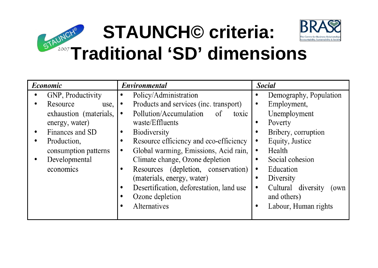

| Economic |                        | <b>Environmental</b> |                                          | <b>Social</b> |                             |
|----------|------------------------|----------------------|------------------------------------------|---------------|-----------------------------|
|          | GNP, Productivity      |                      | Policy/Administration                    |               | Demography, Population      |
|          | Resource<br>use,       | $\bullet$            | Products and services (inc. transport)   | ٠             | Employment,                 |
|          | exhaustion (materials, | $\bullet$            | Pollution/Accumulation<br>of<br>toxic    |               | Unemployment                |
|          | energy, water)         |                      | waste/Effluents                          | ٠             | Poverty                     |
|          | Finances and SD        |                      | <b>Biodiversity</b>                      |               | Bribery, corruption         |
|          | Production,            |                      | Resource efficiency and eco-efficiency   |               | Equity, Justice             |
|          | consumption patterns   |                      | Global warming, Emissions, Acid rain,    | $\bullet$     | Health                      |
|          | Developmental          |                      | Climate change, Ozone depletion          |               | Social cohesion             |
|          | economics              |                      | Resources (depletion, conservation)      |               | Education                   |
|          |                        |                      | (materials, energy, water)               |               | Diversity                   |
|          |                        | ٠                    | Desertification, deforestation, land use |               | Cultural diversity<br>(own) |
|          |                        |                      | Ozone depletion                          |               | and others)                 |
|          |                        |                      | Alternatives                             |               | Labour, Human rights        |
|          |                        |                      |                                          |               |                             |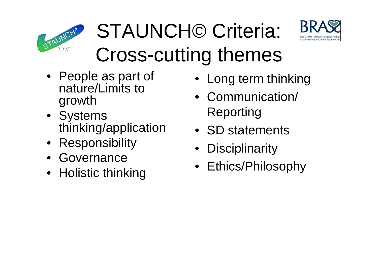

# STAUNCH© Criteria: Cross-cutting themes



- People as part of nature/Limits to growth
- Systems thinking/application
- Responsibility
- Governance
- Holistic thinking
- Long term thinking
- Communication/ Reporting
- SD statements
- **Disciplinarity**
- Ethics/Philosophy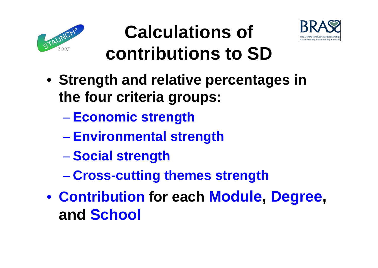



## **Calculations of contributions to SD**

- **Strength and relative percentages in the four criteria groups:**
	- **Economic strength**
	- **Environmental strength**
	- **Social strength**
	- **Cross-cutting themes strength**
- **Contribution for each Module, Degree, and School**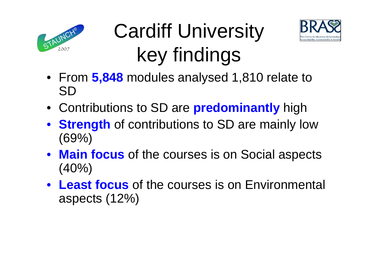





- From **5,848** modules analysed 1,810 relate to SD
- Contributions to SD are **predominantly** high
- **Strength** of contributions to SD are mainly low (69%)
- **Main focus** of the courses is on Social aspects  $(40\%)$
- **Least focus** of the courses is on Environmental aspects (12%)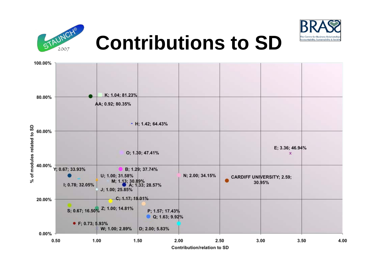



## **Contributions to SD**

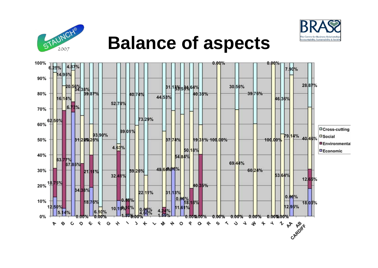



#### **Balance of aspects**

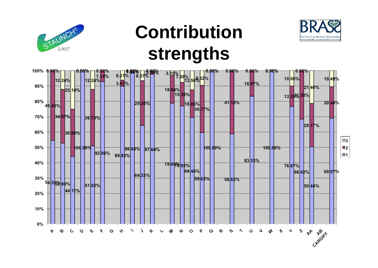

### **Contribution strengths**



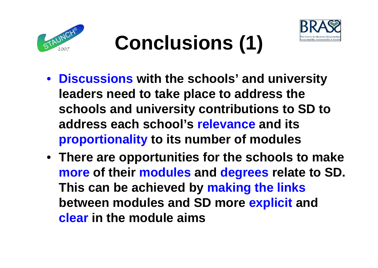



# **Conclusions (1)**

- **Discussions with the schools' and university leaders need to take place to address the schools and university contributions to SD to address each school's relevance and its proportionality to its number of modules**
- **There are opportunities for the schools to make more of their modules and degrees relate to SD. This can be achieved by making the links between modules and SD more explicit and clear in the module aims**